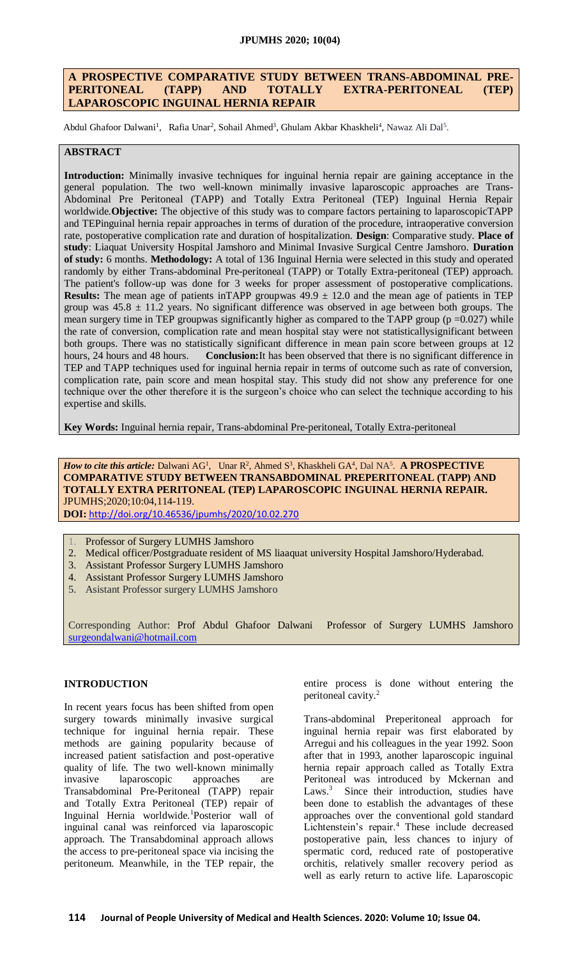### **JPUMHS 2020; 10(04)**

## **A PROSPECTIVE COMPARATIVE STUDY BETWEEN TRANS-ABDOMINAL PRE-PERITONEAL (TAPP) AND TOTALLY EXTRA-PERITONEAL (TEP) LAPAROSCOPIC INGUINAL HERNIA REPAIR**

Abdul Ghafoor Dalwani<sup>1</sup>, Rafia Unar<sup>2</sup>, Sohail Ahmed<sup>3</sup>, Ghulam Akbar Khaskheli<sup>4</sup>, Nawaz Ali Dal<sup>5</sup>.

### **ABSTRACT**

**Introduction:** Minimally invasive techniques for inguinal hernia repair are gaining acceptance in the general population. The two well-known minimally invasive laparoscopic approaches are Trans-Abdominal Pre Peritoneal (TAPP) and Totally Extra Peritoneal (TEP) Inguinal Hernia Repair worldwide.**Objective:** The objective of this study was to compare factors pertaining to laparoscopicTAPP and TEPinguinal hernia repair approaches in terms of duration of the procedure, intraoperative conversion rate, postoperative complication rate and duration of hospitalization. **Design**: Comparative study. **Place of study**: Liaquat University Hospital Jamshoro and Minimal Invasive Surgical Centre Jamshoro. **Duration of study:** 6 months. **Methodology:** A total of 136 Inguinal Hernia were selected in this study and operated randomly by either Trans-abdominal Pre-peritoneal (TAPP) or Totally Extra-peritoneal (TEP) approach. The patient's follow-up was done for 3 weeks for proper assessment of postoperative complications. **Results:** The mean age of patients in TAPP groupwas  $49.9 \pm 12.0$  and the mean age of patients in TEP group was  $45.8 \pm 11.2$  years. No significant difference was observed in age between both groups. The mean surgery time in TEP groupwas significantly higher as compared to the TAPP group ( $p = 0.027$ ) while the rate of conversion, complication rate and mean hospital stay were not statisticallysignificant between both groups. There was no statistically significant difference in mean pain score between groups at 12 hours, 24 hours and 48 hours. **Conclusion:**It has been observed that there is no significant difference in TEP and TAPP techniques used for inguinal hernia repair in terms of outcome such as rate of conversion, complication rate, pain score and mean hospital stay. This study did not show any preference for one technique over the other therefore it is the surgeon's choice who can select the technique according to his expertise and skills.

**Key Words:** Inguinal hernia repair, Trans-abdominal Pre-peritoneal, Totally Extra-peritoneal

*How to cite this article:* Dalwani AG<sup>1</sup>, Unar R<sup>2</sup>, Ahmed S<sup>3</sup>, Khaskheli GA<sup>4</sup>, Dal NA<sup>5</sup>. **A PROSPECTIVE COMPARATIVE STUDY BETWEEN TRANSABDOMINAL PREPERITONEAL (TAPP) AND TOTALLY EXTRA PERITONEAL (TEP) LAPAROSCOPIC INGUINAL HERNIA REPAIR.** JPUMHS;2020;10:04,114-119.

**DOI:** <http://doi.org/10.46536/jpumhs/2020/10.02.270>

- 1. Professor of Surgery LUMHS Jamshoro
- 2. Medical officer/Postgraduate resident of MS liaaquat university Hospital Jamshoro/Hyderabad.
- 3. Assistant Professor Surgery LUMHS Jamshoro
- 4. Assistant Professor Surgery LUMHS Jamshoro
- 5. Asistant Professor surgery LUMHS Jamshoro

Corresponding Author: Prof Abdul Ghafoor Dalwani Professor of Surgery LUMHS Jamshoro [surgeondalwani@hotmail.com](mailto:surgeondalwani@hotmail.com)

#### **INTRODUCTION**

In recent years focus has been shifted from open surgery towards minimally invasive surgical technique for inguinal hernia repair. These methods are gaining popularity because of increased patient satisfaction and post-operative quality of life. The two well-known minimally invasive laparoscopic approaches are Transabdominal Pre-Peritoneal (TAPP) repair and Totally Extra Peritoneal (TEP) repair of Inguinal Hernia worldwide.<sup>1</sup>Posterior wall of inguinal canal was reinforced via laparoscopic approach. The Transabdominal approach allows the access to pre-peritoneal space via incising the peritoneum. Meanwhile, in the TEP repair, the

entire process is done without entering the peritoneal cavity.<sup>2</sup>

Trans-abdominal Preperitoneal approach for inguinal hernia repair was first elaborated by Arregui and his colleagues in the year 1992. Soon after that in 1993, another laparoscopic inguinal hernia repair approach called as Totally Extra Peritoneal was introduced by Mckernan and Laws.<sup>3</sup> Since their introduction, studies have been done to establish the advantages of these approaches over the conventional gold standard Lichtenstein's repair.<sup>4</sup> These include decreased postoperative pain, less chances to injury of spermatic cord, reduced rate of postoperative orchitis, relatively smaller recovery period as well as early return to active life. Laparoscopic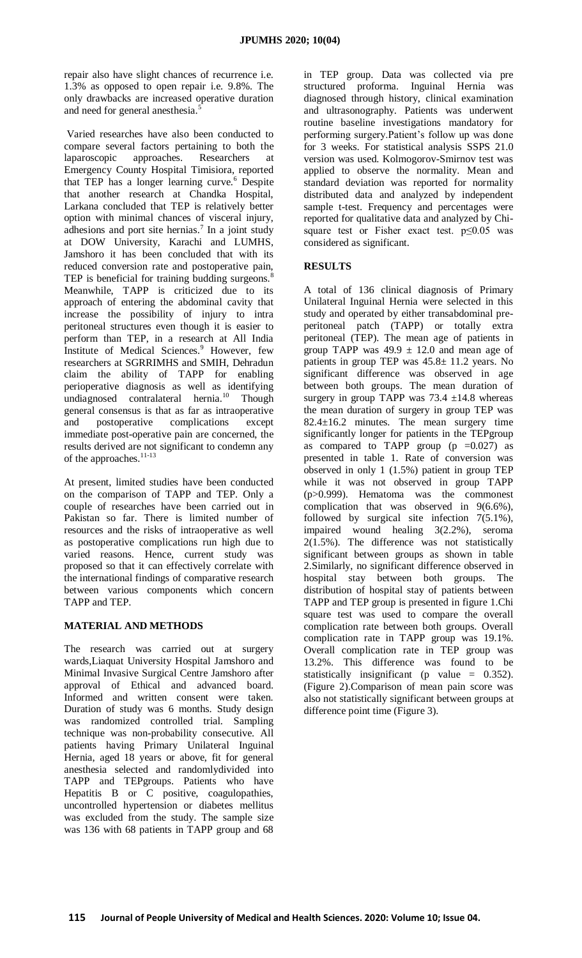repair also have slight chances of recurrence i.e. 1.3% as opposed to open repair i.e. 9.8%. The only drawbacks are increased operative duration and need for general anesthesia.<sup>5</sup>

Varied researches have also been conducted to compare several factors pertaining to both the laparoscopic approaches. Researchers at Emergency County Hospital Timisiora, reported that TEP has a longer learning curve.<sup>6</sup> Despite that another research at Chandka Hospital, Larkana concluded that TEP is relatively better option with minimal chances of visceral injury, adhesions and port site hernias.<sup>7</sup> In a joint study at DOW University, Karachi and LUMHS, Jamshoro it has been concluded that with its reduced conversion rate and postoperative pain, TEP is beneficial for training budding surgeons.<sup>8</sup> Meanwhile, TAPP is criticized due to its approach of entering the abdominal cavity that increase the possibility of injury to intra peritoneal structures even though it is easier to perform than TEP, in a research at All India Institute of Medical Sciences.<sup>9</sup> However, few researchers at SGRRIMHS and SMIH, Dehradun claim the ability of TAPP for enabling perioperative diagnosis as well as identifying undiagnosed contralateral hernia.<sup>10</sup> Though general consensus is that as far as intraoperative and postoperative complications except immediate post-operative pain are concerned, the results derived are not significant to condemn any of the approaches.<sup>11-13</sup>

At present, limited studies have been conducted on the comparison of TAPP and TEP. Only a couple of researches have been carried out in Pakistan so far. There is limited number of resources and the risks of intraoperative as well as postoperative complications run high due to varied reasons. Hence, current study was proposed so that it can effectively correlate with the international findings of comparative research between various components which concern TAPP and TEP.

# **MATERIAL AND METHODS**

The research was carried out at surgery wards,Liaquat University Hospital Jamshoro and Minimal Invasive Surgical Centre Jamshoro after approval of Ethical and advanced board. Informed and written consent were taken. Duration of study was 6 months. Study design was randomized controlled trial. Sampling technique was non-probability consecutive. All patients having Primary Unilateral Inguinal Hernia, aged 18 years or above, fit for general anesthesia selected and randomlydivided into TAPP and TEPgroups. Patients who have Hepatitis B or C positive, coagulopathies, uncontrolled hypertension or diabetes mellitus was excluded from the study. The sample size was 136 with 68 patients in TAPP group and 68

in TEP group. Data was collected via pre structured proforma. Inguinal Hernia was diagnosed through history, clinical examination and ultrasonography. Patients was underwent routine baseline investigations mandatory for performing surgery.Patient's follow up was done for 3 weeks. For statistical analysis SSPS 21.0 version was used. Kolmogorov-Smirnov test was applied to observe the normality. Mean and standard deviation was reported for normality distributed data and analyzed by independent sample t-test. Frequency and percentages were reported for qualitative data and analyzed by Chisquare test or Fisher exact test. p≤0.05 was considered as significant.

## **RESULTS**

A total of 136 clinical diagnosis of Primary Unilateral Inguinal Hernia were selected in this study and operated by either transabdominal preperitoneal patch (TAPP) or totally extra peritoneal (TEP). The mean age of patients in group TAPP was  $49.9 \pm 12.0$  and mean age of patients in group TEP was 45.8± 11.2 years. No significant difference was observed in age between both groups. The mean duration of surgery in group TAPP was  $73.4 \pm 14.8$  whereas the mean duration of surgery in group TEP was 82.4±16.2 minutes. The mean surgery time significantly longer for patients in the TEPgroup as compared to TAPP group  $(p = 0.027)$  as presented in table 1. Rate of conversion was observed in only 1 (1.5%) patient in group TEP while it was not observed in group TAPP (p>0.999). Hematoma was the commonest complication that was observed in 9(6.6%), followed by surgical site infection 7(5.1%), impaired wound healing 3(2.2%), seroma 2(1.5%). The difference was not statistically significant between groups as shown in table 2.Similarly, no significant difference observed in hospital stay between both groups. The distribution of hospital stay of patients between TAPP and TEP group is presented in figure 1.Chi square test was used to compare the overall complication rate between both groups. Overall complication rate in TAPP group was 19.1%. Overall complication rate in TEP group was 13.2%. This difference was found to be statistically insignificant (p value = 0.352). (Figure 2).Comparison of mean pain score was also not statistically significant between groups at difference point time (Figure 3).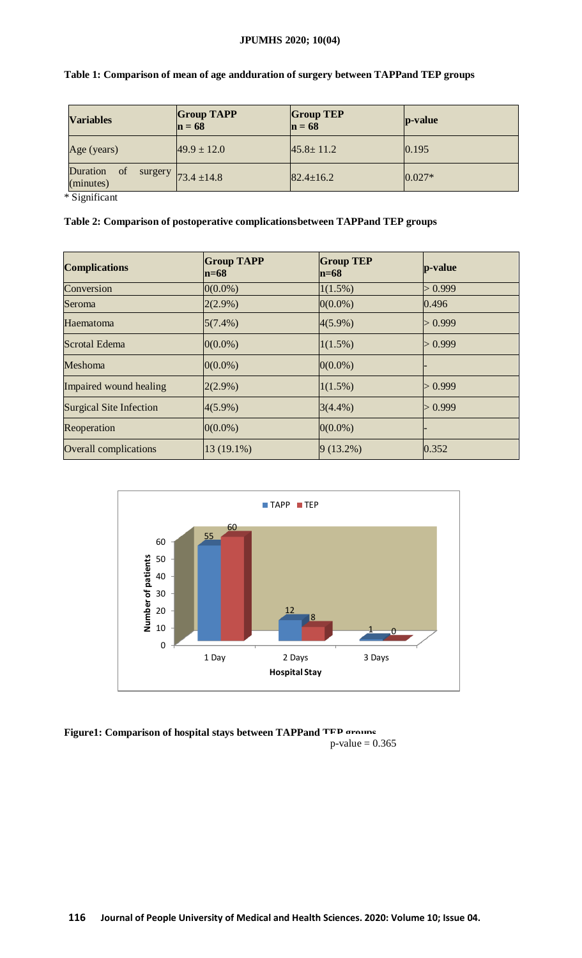# **JPUMHS 2020; 10(04)**

| <b>Variables</b>                       | <b>Group TAPP</b><br>$n = 68$ | <b>Group TEP</b><br>$n = 68$ | $ p-value $ |  |
|----------------------------------------|-------------------------------|------------------------------|-------------|--|
| Age (years)                            | $49.9 \pm 12.0$               | $45.8 \pm 11.2$              | 0.195       |  |
| Duration<br><sub>of</sub><br>(minutes) | surgery $73.4 \pm 14.8$       | $82.4 \pm 16.2$              | $0.027*$    |  |

|  |  |  | Table 1: Comparison of mean of age andduration of surgery between TAPPand TEP groups |
|--|--|--|--------------------------------------------------------------------------------------|
|  |  |  |                                                                                      |

\* Significant

# **Table 2: Comparison of postoperative complicationsbetween TAPPand TEP groups**

| <b>Complications</b>           | <b>Group TAPP</b><br>$ln=68$ | <b>Group TEP</b><br>$n=68$ | p-value |
|--------------------------------|------------------------------|----------------------------|---------|
| Conversion                     | $0(0.0\%)$                   | $1(1.5\%)$                 | > 0.999 |
| Seroma                         | $2(2.9\%)$                   | $0(0.0\%)$                 | 0.496   |
| Haematoma                      | $5(7.4\%)$                   | $4(5.9\%)$                 | > 0.999 |
| Scrotal Edema                  | $0(0.0\%)$                   | $1(1.5\%)$                 | > 0.999 |
| <b>Meshoma</b>                 | $0(0.0\%)$                   | $0(0.0\%)$                 |         |
| Impaired wound healing         | $2(2.9\%)$                   | $1(1.5\%)$                 | > 0.999 |
| <b>Surgical Site Infection</b> | $4(5.9\%)$                   | $3(4.4\%)$                 | > 0.999 |
| Reoperation                    | $0(0.0\%)$                   | $0(0.0\%)$                 |         |
| <b>Overall complications</b>   | 13 (19.1%)                   | $9(13.2\%)$                | 0.352   |



**Figure1: Comparison of hospital stays between TAPPand TEP groups**  $p$ -value = 0.365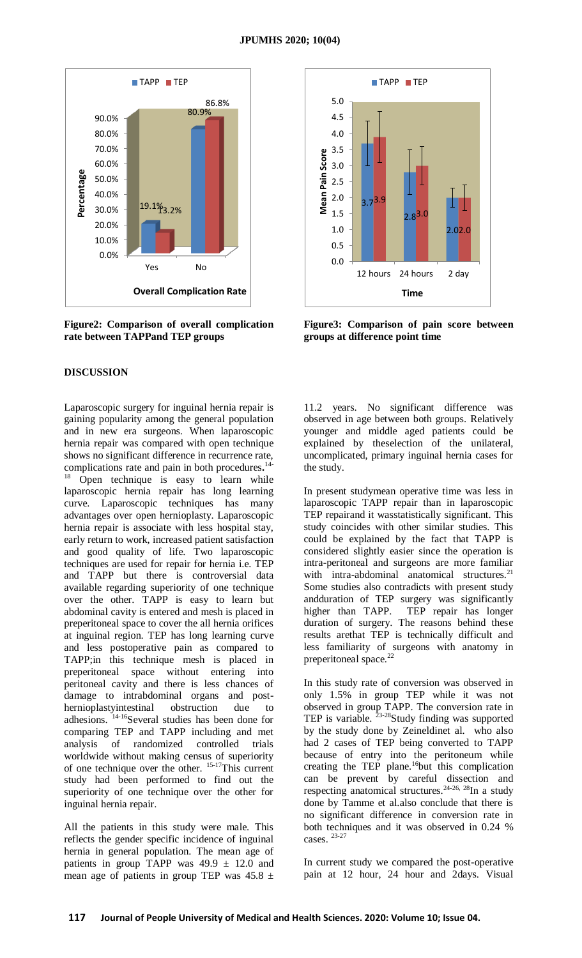

**Figure2: Comparison of overall complication rate between TAPPand TEP groups**

#### **DISCUSSION**

Laparoscopic surgery for inguinal hernia repair is gaining popularity among the general population and in new era surgeons. When laparoscopic hernia repair was compared with open technique shows no significant difference in recurrence rate, complications rate and pain in both procedures**.** 14- <sup>18</sup> Open technique is easy to learn while laparoscopic hernia repair has long learning curve. Laparoscopic techniques has many advantages over open hernioplasty. Laparoscopic hernia repair is associate with less hospital stay, early return to work, increased patient satisfaction and good quality of life. Two laparoscopic techniques are used for repair for hernia i.e. TEP and TAPP but there is controversial data available regarding superiority of one technique over the other. TAPP is easy to learn but abdominal cavity is entered and mesh is placed in preperitoneal space to cover the all hernia orifices at inguinal region. TEP has long learning curve and less postoperative pain as compared to TAPP;in this technique mesh is placed in preperitoneal space without entering into peritoneal cavity and there is less chances of damage to intrabdominal organs and posthernioplastyintestinal obstruction due to adhesions. 14-16Several studies has been done for comparing TEP and TAPP including and met analysis of randomized controlled trials worldwide without making census of superiority of one technique over the other. 15-17This current study had been performed to find out the superiority of one technique over the other for inguinal hernia repair.

All the patients in this study were male. This reflects the gender specific incidence of inguinal hernia in general population. The mean age of patients in group TAPP was  $49.9 \pm 12.0$  and mean age of patients in group TEP was  $45.8 \pm$ 



**Figure3: Comparison of pain score between groups at difference point time**

11.2 years. No significant difference was observed in age between both groups. Relatively younger and middle aged patients could be explained by theselection of the unilateral, uncomplicated, primary inguinal hernia cases for the study.

In present studymean operative time was less in laparoscopic TAPP repair than in laparoscopic TEP repairand it wasstatistically significant. This study coincides with other similar studies. This could be explained by the fact that TAPP is considered slightly easier since the operation is intra-peritoneal and surgeons are more familiar with intra-abdominal anatomical structures.<sup>21</sup> Some studies also contradicts with present study andduration of TEP surgery was significantly higher than TAPP. TEP repair has longer duration of surgery. The reasons behind these results arethat TEP is technically difficult and less familiarity of surgeons with anatomy in preperitoneal space.<sup>22</sup>

In this study rate of conversion was observed in only 1.5% in group TEP while it was not observed in group TAPP. The conversion rate in TEP is variable. <sup>23-28</sup>Study finding was supported by the study done by Zeineldinet al. who also had 2 cases of TEP being converted to TAPP because of entry into the peritoneum while creating the TEP plane.<sup>16</sup>but this complication can be prevent by careful dissection and respecting anatomical structures.24-26, 28In a study done by Tamme et al.also conclude that there is no significant difference in conversion rate in both techniques and it was observed in 0.24 % cases. 23-27

In current study we compared the post-operative pain at 12 hour, 24 hour and 2days. Visual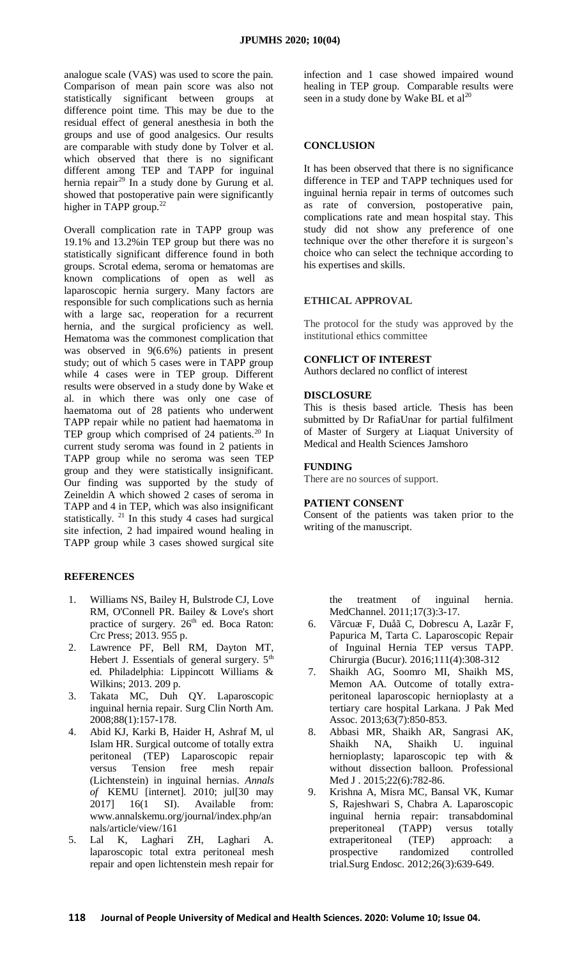analogue scale (VAS) was used to score the pain. Comparison of mean pain score was also not statistically significant between groups at difference point time. This may be due to the residual effect of general anesthesia in both the groups and use of good analgesics. Our results are comparable with study done by Tolver et al. which observed that there is no significant different among TEP and TAPP for inguinal hernia repair<sup>29</sup> In a study done by Gurung et al. showed that postoperative pain were significantly higher in TAPP group.<sup>22</sup>

Overall complication rate in TAPP group was 19.1% and 13.2%in TEP group but there was no statistically significant difference found in both groups. Scrotal edema, seroma or hematomas are known complications of open as well as laparoscopic hernia surgery. Many factors are responsible for such complications such as hernia with a large sac, reoperation for a recurrent hernia, and the surgical proficiency as well. Hematoma was the commonest complication that was observed in 9(6.6%) patients in present study; out of which 5 cases were in TAPP group while 4 cases were in TEP group. Different results were observed in a study done by Wake et al. in which there was only one case of haematoma out of 28 patients who underwent TAPP repair while no patient had haematoma in TEP group which comprised of 24 patients.<sup>20</sup> In current study seroma was found in 2 patients in TAPP group while no seroma was seen TEP group and they were statistically insignificant. Our finding was supported by the study of Zeineldin A which showed 2 cases of seroma in TAPP and 4 in TEP, which was also insignificant statistically.  $21$  In this study 4 cases had surgical site infection, 2 had impaired wound healing in TAPP group while 3 cases showed surgical site

### **REFERENCES**

- 1. Williams NS, Bailey H, Bulstrode CJ, Love RM, O'Connell PR. Bailey & Love's short practice of surgery.  $26<sup>th</sup>$  ed. Boca Raton: Crc Press; 2013. 955 p.
- 2. Lawrence PF, Bell RM, Dayton MT, Hebert J. Essentials of general surgery.  $5<sup>th</sup>$ ed. Philadelphia: Lippincott Williams & Wilkins; 2013. 209 p.
- 3. Takata MC, Duh QY. Laparoscopic inguinal hernia repair. Surg Clin North Am. 2008;88(1):157-178.
- 4. Abid KJ, Karki B, Haider H, Ashraf M, ul Islam HR. Surgical outcome of totally extra peritoneal (TEP) Laparoscopic repair versus Tension free mesh repair (Lichtenstein) in inguinal hernias. *Annals of* KEMU [internet]. 2010; jul[30 may 2017] 16(1 SI). Available from: [www.annalskemu.org/journal/index.php/an](http://www.annalskemu.org/journal/index.php/annals/article/view/161) [nals/article/view/161](http://www.annalskemu.org/journal/index.php/annals/article/view/161)
- 5. Lal K, Laghari ZH, Laghari A. laparoscopic total extra peritoneal mesh repair and open lichtenstein mesh repair for

infection and 1 case showed impaired wound healing in TEP group. Comparable results were seen in a study done by Wake BL et  $al^{20}$ 

### **CONCLUSION**

It has been observed that there is no significance difference in TEP and TAPP techniques used for inguinal hernia repair in terms of outcomes such as rate of conversion, postoperative pain, complications rate and mean hospital stay. This study did not show any preference of one technique over the other therefore it is surgeon's choice who can select the technique according to his expertises and skills.

#### **ETHICAL APPROVAL**

The protocol for the study was approved by the institutional ethics committee

#### **CONFLICT OF INTEREST**

Authors declared no conflict of interest

#### **DISCLOSURE**

This is thesis based article. Thesis has been submitted by Dr RafiaUnar for partial fulfilment of Master of Surgery at Liaquat University of Medical and Health Sciences Jamshoro

#### **FUNDING**

There are no sources of support.

#### **PATIENT CONSENT**

Consent of the patients was taken prior to the writing of the manuscript.

the treatment of inguinal hernia. MedChannel. 2011;17(3):3-17.

- 6. Vãrcuæ F, Duåã C, Dobrescu A, Lazãr F, Papurica M, Tarta C. Laparoscopic Repair of Inguinal Hernia TEP versus TAPP. Chirurgia (Bucur). 2016;111(4):308-312
- 7. Shaikh AG, Soomro MI, Shaikh MS, Memon AA. Outcome of totally extraperitoneal laparoscopic hernioplasty at a tertiary care hospital Larkana. J Pak Med Assoc. 2013;63(7):850-853.
- 8. Abbasi MR, Shaikh AR, Sangrasi AK, Shaikh NA, Shaikh U. inguinal hernioplasty; laparoscopic tep with & without dissection balloon. Professional Med J. 2015;22(6):782-86.
- 9. Krishna A, Misra MC, Bansal VK, Kumar S, Rajeshwari S, Chabra A. Laparoscopic inguinal hernia repair: transabdominal preperitoneal (TAPP) versus totally extraperitoneal (TEP) approach: a prospective randomized controlled trial.Surg Endosc. 2012;26(3):639-649.